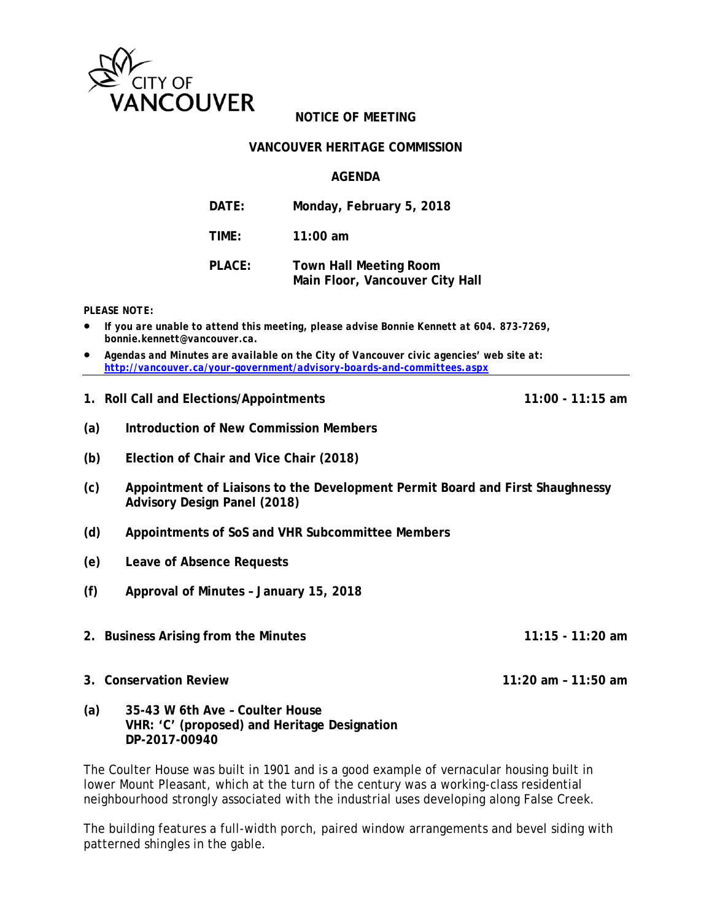

#### **VANCOUVER HERITAGE COMMISSION**

### **AGENDA**

| <b>DATE:</b>  | Monday, February 5, 2018                                         |
|---------------|------------------------------------------------------------------|
| TIME:         | $11:00$ am                                                       |
| <b>PLACE:</b> | <b>Town Hall Meeting Room</b><br>Main Floor, Vancouver City Hall |

*PLEASE NOTE:* 

- *If you are unable to attend this meeting, please advise Bonnie Kennett at 604. 873-7269, bonnie.kennett@vancouver.ca.*
- *Agendas and Minutes are available on the City of Vancouver civic agencies' web site at: http://vancouver.ca/your-government/advisory-boards-and-committees.aspx*
- **1. Roll Call and Elections/Appointments 11:00 11:15 am**

- **(a) Introduction of New Commission Members**
- **(b) Election of Chair and Vice Chair (2018)**
- **(c) Appointment of Liaisons to the Development Permit Board and First Shaughnessy Advisory Design Panel (2018)**
- **(d) Appointments of SoS and VHR Subcommittee Members**
- **(e) Leave of Absence Requests**
- **(f) Approval of Minutes January 15, 2018**
- **2. Business Arising from the Minutes 11:15 11:20 am**
- **3. Conservation Review 11:20 am 11:50 am**
- **(a) 35-43 W 6th Ave Coulter House VHR: 'C' (proposed) and Heritage Designation DP-2017-00940**

The Coulter House was built in 1901 and is a good example of vernacular housing built in lower Mount Pleasant, which at the turn of the century was a working-class residential neighbourhood strongly associated with the industrial uses developing along False Creek.

The building features a full-width porch, paired window arrangements and bevel siding with patterned shingles in the gable.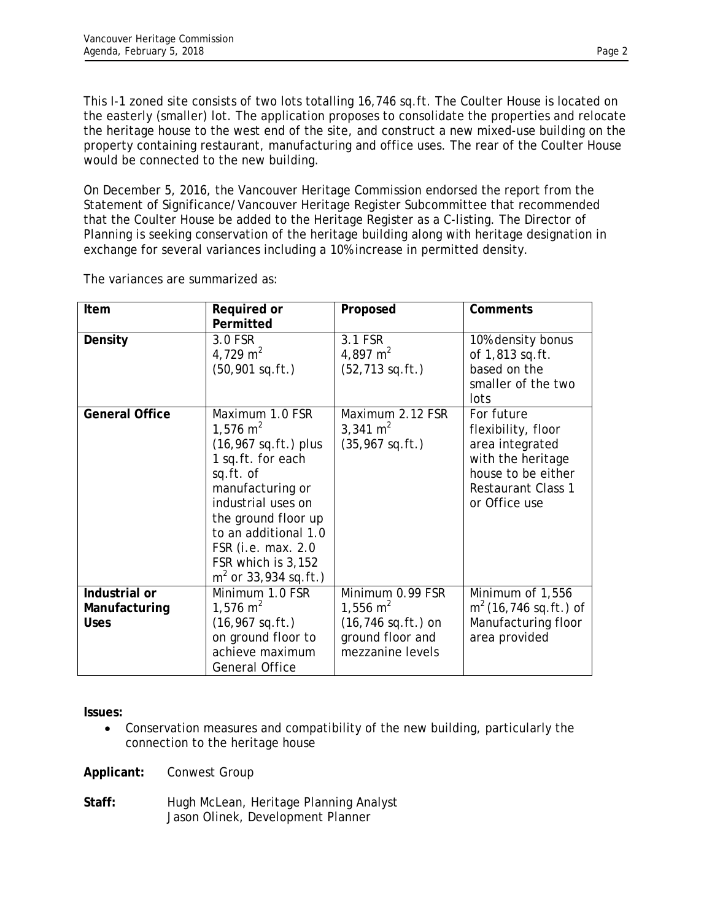This I-1 zoned site consists of two lots totalling 16,746 sq.ft. The Coulter House is located on the easterly (smaller) lot. The application proposes to consolidate the properties and relocate the heritage house to the west end of the site, and construct a new mixed-use building on the property containing restaurant, manufacturing and office uses. The rear of the Coulter House would be connected to the new building.

On December 5, 2016, the Vancouver Heritage Commission endorsed the report from the Statement of Significance/Vancouver Heritage Register Subcommittee that recommended that the Coulter House be added to the Heritage Register as a C-listing. The Director of Planning is seeking conservation of the heritage building along with heritage designation in exchange for several variances including a 10% increase in permitted density.

| Item                                          | Required or<br>Permitted                                                                                                                                                                                                                                                  | Proposed                                                                                                 | Comments                                                                                                                                     |
|-----------------------------------------------|---------------------------------------------------------------------------------------------------------------------------------------------------------------------------------------------------------------------------------------------------------------------------|----------------------------------------------------------------------------------------------------------|----------------------------------------------------------------------------------------------------------------------------------------------|
| Density                                       | 3.0 FSR<br>4,729 m <sup>2</sup><br>$(50, 901$ sq.ft.)                                                                                                                                                                                                                     | 3.1 FSR<br>4,897 m <sup>2</sup><br>$(52, 713$ sq.ft.)                                                    | 10% density bonus<br>of 1,813 sq.ft.<br>based on the<br>smaller of the two<br>lots                                                           |
| <b>General Office</b>                         | Maximum 1.0 FSR<br>1,576 $m2$<br>$(16, 967 \text{ sq.ft.}) \text{ plus}$<br>1 sq.ft. for each<br>sq.ft. of<br>manufacturing or<br>industrial uses on<br>the ground floor up<br>to an additional 1.0<br>FSR (i.e. max. 2.0<br>FSR which is 3,152<br>$m2$ or 33,934 sq.ft.) | Maximum 2.12 FSR<br>3,341 $m2$<br>$(35, 967$ sq.ft.)                                                     | For future<br>flexibility, floor<br>area integrated<br>with the heritage<br>house to be either<br><b>Restaurant Class 1</b><br>or Office use |
| Industrial or<br>Manufacturing<br><b>Uses</b> | Minimum 1.0 FSR<br>1,576 $m2$<br>$(16, 967$ sq.ft.)<br>on ground floor to<br>achieve maximum<br><b>General Office</b>                                                                                                                                                     | Minimum 0.99 FSR<br>1,556 $m^2$<br>$(16, 746 \text{ sq.ft.})$ on<br>ground floor and<br>mezzanine levels | Minimum of 1,556<br>$m2$ (16,746 sq.ft.) of<br>Manufacturing floor<br>area provided                                                          |

The variances are summarized as:

**Issues:** 

 Conservation measures and compatibility of the new building, particularly the connection to the heritage house

**Applicant:** Conwest Group

Staff: Hugh McLean, Heritage Planning Analyst Jason Olinek, Development Planner